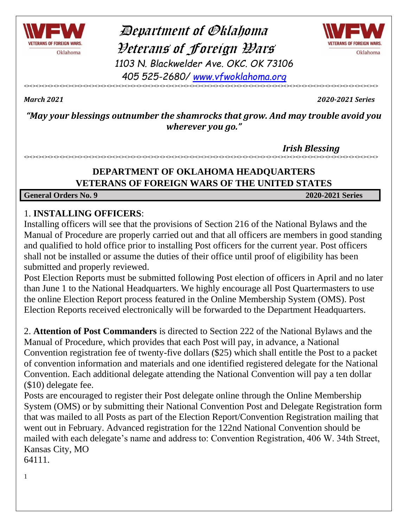

 Department of Oklahoma Veterans of Foreign Wars *1103 N. Blackwelder Ave. OKC. OK 73106*



*405 525-2680/ [www.vfwoklahoma.org](http://www.vfwoklahoma.org/)* <><><><><><><><><><><><><><><><><><><><><><><><><><><><><><><><><><><><><><><><><><><><><><><><><><><><><><><><><><><><>

*March 2021 2020-2021 Series*

*"May your blessings outnumber the shamrocks that grow. And may trouble avoid you wherever you go."*

 *Irish Blessing*

### **DEPARTMENT OF OKLAHOMA HEADQUARTERS VETERANS OF FOREIGN WARS OF THE UNITED STATES**

<><><><><><><><><><><><><><><><><><><><><><><><><><><><><><><><><><><><><><><><><><><><><><><><><><><><><><><><><><><><>

**General Orders No. 9 2020-2021 Series**

### 1. **INSTALLING OFFICERS**:

Installing officers will see that the provisions of Section 216 of the National Bylaws and the Manual of Procedure are properly carried out and that all officers are members in good standing and qualified to hold office prior to installing Post officers for the current year. Post officers shall not be installed or assume the duties of their office until proof of eligibility has been submitted and properly reviewed.

Post Election Reports must be submitted following Post election of officers in April and no later than June 1 to the National Headquarters. We highly encourage all Post Quartermasters to use the online Election Report process featured in the Online Membership System (OMS). Post Election Reports received electronically will be forwarded to the Department Headquarters.

2. **Attention of Post Commanders** is directed to Section 222 of the National Bylaws and the Manual of Procedure, which provides that each Post will pay, in advance, a National Convention registration fee of twenty-five dollars (\$25) which shall entitle the Post to a packet of convention information and materials and one identified registered delegate for the National Convention. Each additional delegate attending the National Convention will pay a ten dollar (\$10) delegate fee.

Posts are encouraged to register their Post delegate online through the Online Membership System (OMS) or by submitting their National Convention Post and Delegate Registration form that was mailed to all Posts as part of the Election Report/Convention Registration mailing that went out in February. Advanced registration for the 122nd National Convention should be mailed with each delegate's name and address to: Convention Registration, 406 W. 34th Street, Kansas City, MO

64111.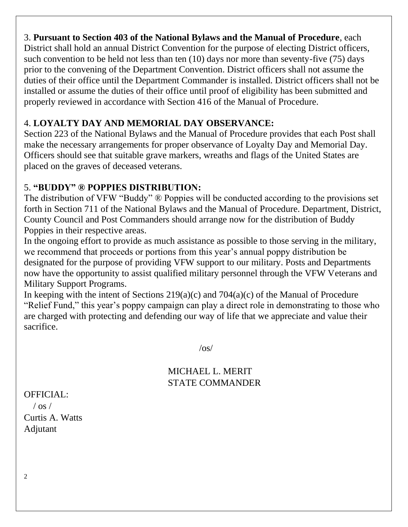#### 3. **Pursuant to Section 403 of the National Bylaws and the Manual of Procedure**, each

District shall hold an annual District Convention for the purpose of electing District officers, such convention to be held not less than ten (10) days nor more than seventy-five (75) days prior to the convening of the Department Convention. District officers shall not assume the duties of their office until the Department Commander is installed. District officers shall not be installed or assume the duties of their office until proof of eligibility has been submitted and properly reviewed in accordance with Section 416 of the Manual of Procedure.

### 4. **LOYALTY DAY AND MEMORIAL DAY OBSERVANCE:**

Section 223 of the National Bylaws and the Manual of Procedure provides that each Post shall make the necessary arrangements for proper observance of Loyalty Day and Memorial Day. Officers should see that suitable grave markers, wreaths and flags of the United States are placed on the graves of deceased veterans.

### 5. **"BUDDY" ® POPPIES DISTRIBUTION:**

The distribution of VFW "Buddy" ® Poppies will be conducted according to the provisions set forth in Section 711 of the National Bylaws and the Manual of Procedure. Department, District, County Council and Post Commanders should arrange now for the distribution of Buddy Poppies in their respective areas.

In the ongoing effort to provide as much assistance as possible to those serving in the military, we recommend that proceeds or portions from this year's annual poppy distribution be designated for the purpose of providing VFW support to our military. Posts and Departments now have the opportunity to assist qualified military personnel through the VFW Veterans and Military Support Programs.

In keeping with the intent of Sections  $219(a)(c)$  and  $704(a)(c)$  of the Manual of Procedure "Relief Fund," this year's poppy campaign can play a direct role in demonstrating to those who are charged with protecting and defending our way of life that we appreciate and value their sacrifice.

 $\log$ 

### MICHAEL L. MERIT STATE COMMANDER

OFFICIAL:

 $/$  os  $/$ Curtis A. Watts Adjutant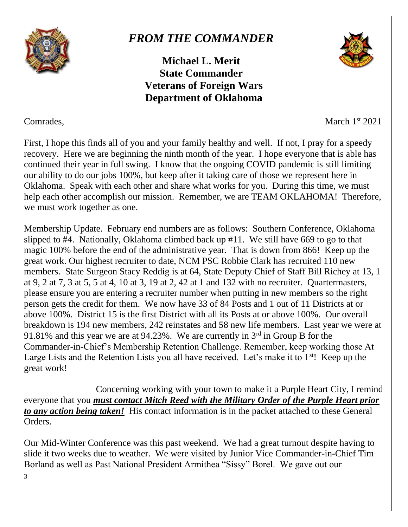

## *FROM THE COMMANDER*

**Michael L. Merit State Commander Veterans of Foreign Wars Department of Oklahoma**



Comrades, March 1<sup>st</sup> 2021

First, I hope this finds all of you and your family healthy and well. If not, I pray for a speedy recovery. Here we are beginning the ninth month of the year. I hope everyone that is able has continued their year in full swing. I know that the ongoing COVID pandemic is still limiting our ability to do our jobs 100%, but keep after it taking care of those we represent here in Oklahoma. Speak with each other and share what works for you. During this time, we must help each other accomplish our mission. Remember, we are TEAM OKLAHOMA! Therefore, we must work together as one.

Membership Update. February end numbers are as follows: Southern Conference, Oklahoma slipped to #4. Nationally, Oklahoma climbed back up #11. We still have 669 to go to that magic 100% before the end of the administrative year. That is down from 866! Keep up the great work. Our highest recruiter to date, NCM PSC Robbie Clark has recruited 110 new members. State Surgeon Stacy Reddig is at 64, State Deputy Chief of Staff Bill Richey at 13, 1 at 9, 2 at 7, 3 at 5, 5 at 4, 10 at 3, 19 at 2, 42 at 1 and 132 with no recruiter. Quartermasters, please ensure you are entering a recruiter number when putting in new members so the right person gets the credit for them. We now have 33 of 84 Posts and 1 out of 11 Districts at or above 100%. District 15 is the first District with all its Posts at or above 100%. Our overall breakdown is 194 new members, 242 reinstates and 58 new life members. Last year we were at 91.81% and this year we are at 94.23%. We are currently in 3rd in Group B for the Commander-in-Chief's Membership Retention Challenge. Remember, keep working those At Large Lists and the Retention Lists you all have received. Let's make it to  $1<sup>st</sup>$ ! Keep up the great work!

Concerning working with your town to make it a Purple Heart City, I remind everyone that you *must contact Mitch Reed with the Military Order of the Purple Heart prior to any action being taken!* His contact information is in the packet attached to these General Orders.

Our Mid-Winter Conference was this past weekend. We had a great turnout despite having to slide it two weeks due to weather. We were visited by Junior Vice Commander-in-Chief Tim Borland as well as Past National President Armithea "Sissy" Borel. We gave out our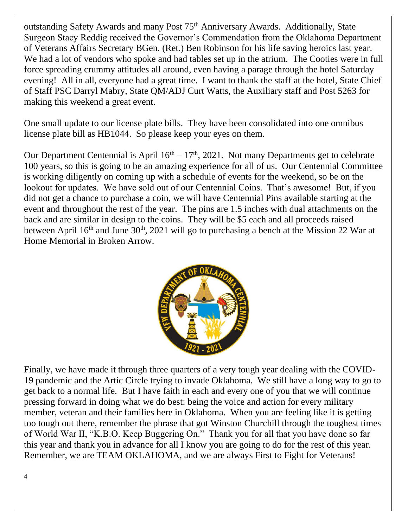outstanding Safety Awards and many Post 75<sup>th</sup> Anniversary Awards. Additionally, State Surgeon Stacy Reddig received the Governor's Commendation from the Oklahoma Department of Veterans Affairs Secretary BGen. (Ret.) Ben Robinson for his life saving heroics last year. We had a lot of vendors who spoke and had tables set up in the atrium. The Cooties were in full force spreading crummy attitudes all around, even having a parage through the hotel Saturday evening! All in all, everyone had a great time. I want to thank the staff at the hotel, State Chief of Staff PSC Darryl Mabry, State QM/ADJ Curt Watts, the Auxiliary staff and Post 5263 for making this weekend a great event.

One small update to our license plate bills. They have been consolidated into one omnibus license plate bill as HB1044. So please keep your eyes on them.

Our Department Centennial is April  $16<sup>th</sup> - 17<sup>th</sup>$ , 2021. Not many Departments get to celebrate 100 years, so this is going to be an amazing experience for all of us. Our Centennial Committee is working diligently on coming up with a schedule of events for the weekend, so be on the lookout for updates. We have sold out of our Centennial Coins. That's awesome! But, if you did not get a chance to purchase a coin, we will have Centennial Pins available starting at the event and throughout the rest of the year. The pins are 1.5 inches with dual attachments on the back and are similar in design to the coins. They will be \$5 each and all proceeds raised between April  $16<sup>th</sup>$  and June  $30<sup>th</sup>$ , 2021 will go to purchasing a bench at the Mission 22 War at Home Memorial in Broken Arrow.



Finally, we have made it through three quarters of a very tough year dealing with the COVID-19 pandemic and the Artic Circle trying to invade Oklahoma. We still have a long way to go to get back to a normal life. But I have faith in each and every one of you that we will continue pressing forward in doing what we do best: being the voice and action for every military member, veteran and their families here in Oklahoma. When you are feeling like it is getting too tough out there, remember the phrase that got Winston Churchill through the toughest times of World War II, "K.B.O. Keep Buggering On." Thank you for all that you have done so far this year and thank you in advance for all I know you are going to do for the rest of this year. Remember, we are TEAM OKLAHOMA, and we are always First to Fight for Veterans!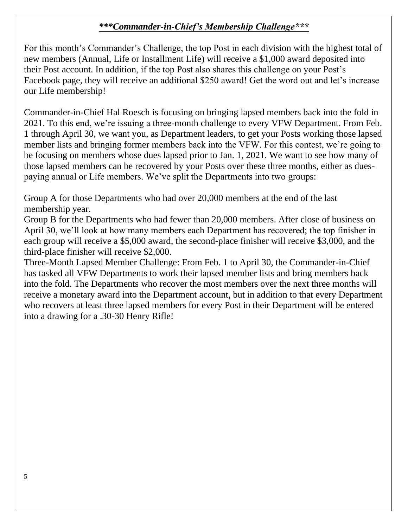### *\*\*\*Commander-in-Chief's Membership Challenge\*\*\**

For this month's Commander's Challenge, the top Post in each division with the highest total of new members (Annual, Life or Installment Life) will receive a \$1,000 award deposited into their Post account. In addition, if the top Post also shares this challenge on your Post's Facebook page, they will receive an additional \$250 award! Get the word out and let's increase our Life membership!

Commander-in-Chief Hal Roesch is focusing on bringing lapsed members back into the fold in 2021. To this end, we're issuing a three-month challenge to every VFW Department. From Feb. 1 through April 30, we want you, as Department leaders, to get your Posts working those lapsed member lists and bringing former members back into the VFW. For this contest, we're going to be focusing on members whose dues lapsed prior to Jan. 1, 2021. We want to see how many of those lapsed members can be recovered by your Posts over these three months, either as duespaying annual or Life members. We've split the Departments into two groups:

Group A for those Departments who had over 20,000 members at the end of the last membership year.

Group B for the Departments who had fewer than 20,000 members. After close of business on April 30, we'll look at how many members each Department has recovered; the top finisher in each group will receive a \$5,000 award, the second-place finisher will receive \$3,000, and the third-place finisher will receive \$2,000.

Three-Month Lapsed Member Challenge: From Feb. 1 to April 30, the Commander-in-Chief has tasked all VFW Departments to work their lapsed member lists and bring members back into the fold. The Departments who recover the most members over the next three months will receive a monetary award into the Department account, but in addition to that every Department who recovers at least three lapsed members for every Post in their Department will be entered into a drawing for a .30-30 Henry Rifle!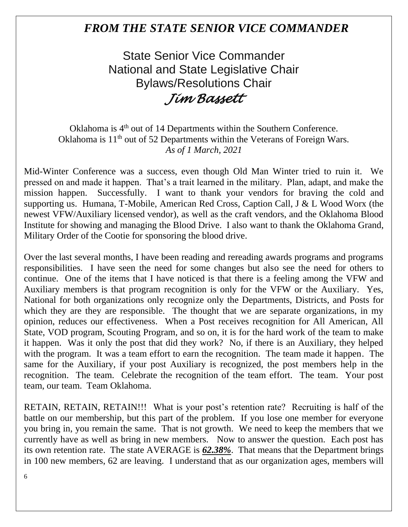### *FROM THE STATE SENIOR VICE COMMANDER*

State Senior Vice Commander National and State Legislative Chair Bylaws/Resolutions Chair *Jim Bassett* 

Oklahoma is 4<sup>th</sup> out of 14 Departments within the Southern Conference. Oklahoma is  $11<sup>th</sup>$  out of 52 Departments within the Veterans of Foreign Wars. *As of 1 March, 2021*

Mid-Winter Conference was a success, even though Old Man Winter tried to ruin it. We pressed on and made it happen. That's a trait learned in the military. Plan, adapt, and make the mission happen. Successfully. I want to thank your vendors for braving the cold and supporting us. Humana, T-Mobile, American Red Cross, Caption Call, J & L Wood Worx (the newest VFW/Auxiliary licensed vendor), as well as the craft vendors, and the Oklahoma Blood Institute for showing and managing the Blood Drive. I also want to thank the Oklahoma Grand, Military Order of the Cootie for sponsoring the blood drive.

Over the last several months, I have been reading and rereading awards programs and programs responsibilities. I have seen the need for some changes but also see the need for others to continue. One of the items that I have noticed is that there is a feeling among the VFW and Auxiliary members is that program recognition is only for the VFW or the Auxiliary. Yes, National for both organizations only recognize only the Departments, Districts, and Posts for which they are they are responsible. The thought that we are separate organizations, in my opinion, reduces our effectiveness. When a Post receives recognition for All American, All State, VOD program, Scouting Program, and so on, it is for the hard work of the team to make it happen. Was it only the post that did they work? No, if there is an Auxiliary, they helped with the program. It was a team effort to earn the recognition. The team made it happen. The same for the Auxiliary, if your post Auxiliary is recognized, the post members help in the recognition. The team. Celebrate the recognition of the team effort. The team. Your post team, our team. Team Oklahoma.

RETAIN, RETAIN, RETAIN!!! What is your post's retention rate? Recruiting is half of the battle on our membership, but this part of the problem. If you lose one member for everyone you bring in, you remain the same. That is not growth. We need to keep the members that we currently have as well as bring in new members. Now to answer the question. Each post has its own retention rate. The state AVERAGE is *62.38%*. That means that the Department brings in 100 new members, 62 are leaving. I understand that as our organization ages, members will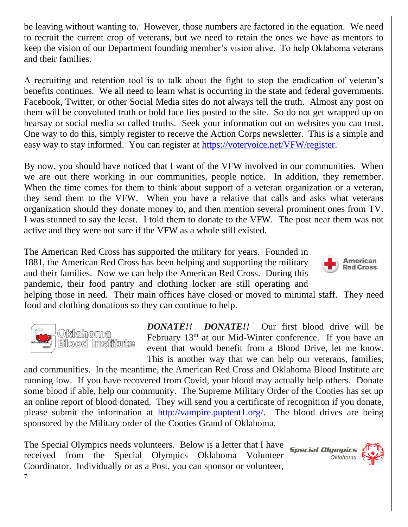be leaving without wanting to. However, those numbers are factored in the equation. We need to recruit the current crop of veterans, but we need to retain the ones we have as mentors to keep the vision of our Department founding member's vision alive. To help Oklahoma veterans and their families.

A recruiting and retention tool is to talk about the fight to stop the eradication of veteran's benefits continues. We all need to learn what is occurring in the state and federal governments. Facebook, Twitter, or other Social Media sites do not always tell the truth. Almost any post on them will be convoluted truth or bold face lies posted to the site. So do not get wrapped up on hearsay or social media so called truths. Seek your information out on websites you can trust. One way to do this, simply register to receive the Action Corps newsletter. This is a simple and easy way to stay informed. You can register at [https://votervoice.net/VFW/register.](https://votervoice.net/VFW/register)

By now, you should have noticed that I want of the VFW involved in our communities. When we are out there working in our communities, people notice. In addition, they remember. When the time comes for them to think about support of a veteran organization or a veteran, they send them to the VFW. When you have a relative that calls and asks what veterans organization should they donate money to, and then mention several prominent ones from TV. I was stunned to say the least. I told them to donate to the VFW. The post near them was not active and they were not sure if the VFW as a whole still existed.

The American Red Cross has supported the military for years. Founded in 1881, the American Red Cross has been helping and supporting the military and their families. Now we can help the American Red Cross. During this pandemic, their food pantry and clothing locker are still operating and

American **Red Cross** 

helping those in need. Their main offices have closed or moved to minimal staff. They need food and clothing donations so they can continue to help.



7

*DONATE!! DONATE!!* Our first blood drive will be February 13<sup>th</sup> at our Mid-Winter conference. If you have an event that would benefit from a Blood Drive, let me know. This is another way that we can help our veterans, families,

and communities. In the meantime, the American Red Cross and Oklahoma Blood Institute are running low. If you have recovered from Covid, your blood may actually help others. Donate some blood if able, help our community. The Supreme Military Order of the Cooties has set up an online report of blood donated. They will send you a certificate of recognition if you donate, please submit the information at [http://vampire.puptent1.org/.](http://vampire.puptent1.org/) The blood drives are being sponsored by the Military order of the Cooties Grand of Oklahoma.

The Special Olympics needs volunteers. Below is a letter that I have received from the Special Olympics Oklahoma Volunteer Coordinator. Individually or as a Post, you can sponsor or volunteer,

**Special Olympics** Oklahoma

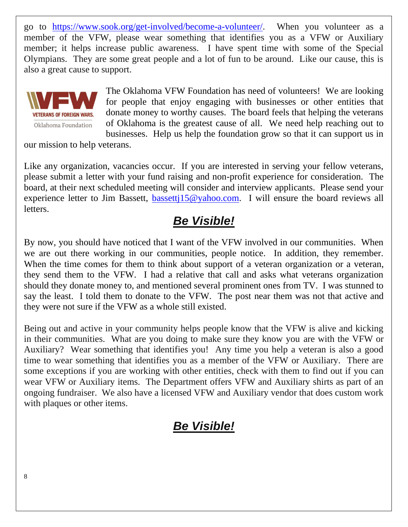go to [https://www.sook.org/get-involved/become-a-volunteer/.](https://www.sook.org/get-involved/become-a-volunteer/) When you volunteer as a member of the VFW, please wear something that identifies you as a VFW or Auxiliary member; it helps increase public awareness. I have spent time with some of the Special Olympians. They are some great people and a lot of fun to be around. Like our cause, this is also a great cause to support.



The Oklahoma VFW Foundation has need of volunteers! We are looking for people that enjoy engaging with businesses or other entities that donate money to worthy causes. The board feels that helping the veterans of Oklahoma is the greatest cause of all. We need help reaching out to businesses. Help us help the foundation grow so that it can support us in

our mission to help veterans.

Like any organization, vacancies occur. If you are interested in serving your fellow veterans, please submit a letter with your fund raising and non-profit experience for consideration. The board, at their next scheduled meeting will consider and interview applicants. Please send your experience letter to Jim Bassett, **bassett**  $15@$  vahoo.com. I will ensure the board reviews all letters.

## *Be Visible!*

By now, you should have noticed that I want of the VFW involved in our communities. When we are out there working in our communities, people notice. In addition, they remember. When the time comes for them to think about support of a veteran organization or a veteran, they send them to the VFW. I had a relative that call and asks what veterans organization should they donate money to, and mentioned several prominent ones from TV. I was stunned to say the least. I told them to donate to the VFW. The post near them was not that active and they were not sure if the VFW as a whole still existed.

Being out and active in your community helps people know that the VFW is alive and kicking in their communities. What are you doing to make sure they know you are with the VFW or Auxiliary? Wear something that identifies you! Any time you help a veteran is also a good time to wear something that identifies you as a member of the VFW or Auxiliary. There are some exceptions if you are working with other entities, check with them to find out if you can wear VFW or Auxiliary items. The Department offers VFW and Auxiliary shirts as part of an ongoing fundraiser. We also have a licensed VFW and Auxiliary vendor that does custom work with plaques or other items.

## *Be Visible!*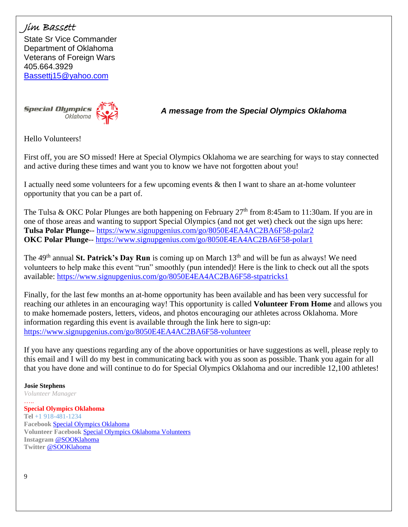#### Jim Bassett

State Sr Vice Commander Department of Oklahoma Veterans of Foreign Wars 405.664.3929 [Bassettj15@yahoo.com](mailto:Bassettj15@yahoo.com)



*A message from the Special Olympics Oklahoma*

Hello Volunteers!

First off, you are SO missed! Here at Special Olympics Oklahoma we are searching for ways to stay connected and active during these times and want you to know we have not forgotten about you!

I actually need some volunteers for a few upcoming events & then I want to share an at-home volunteer opportunity that you can be a part of.

The Tulsa & OKC Polar Plunges are both happening on February  $27<sup>th</sup>$  from 8:45am to 11:30am. If you are in one of those areas and wanting to support Special Olympics (and not get wet) check out the sign ups here: **Tulsa Polar Plunge**-- <https://www.signupgenius.com/go/8050E4EA4AC2BA6F58-polar2> **OKC Polar Plunge**-- <https://www.signupgenius.com/go/8050E4EA4AC2BA6F58-polar1>

The 49<sup>th</sup> annual **St. Patrick's Day Run** is coming up on March 13<sup>th</sup> and will be fun as always! We need volunteers to help make this event "run" smoothly (pun intended)! Here is the link to check out all the spots available:<https://www.signupgenius.com/go/8050E4EA4AC2BA6F58-stpatricks1>

Finally, for the last few months an at-home opportunity has been available and has been very successful for reaching our athletes in an encouraging way! This opportunity is called **Volunteer From Home** and allows you to make homemade posters, letters, videos, and photos encouraging our athletes across Oklahoma. More information regarding this event is available through the link here to sign-up: <https://www.signupgenius.com/go/8050E4EA4AC2BA6F58-volunteer>

If you have any questions regarding any of the above opportunities or have suggestions as well, please reply to this email and I will do my best in communicating back with you as soon as possible. Thank you again for all that you have done and will continue to do for Special Olympics Oklahoma and our incredible 12,100 athletes!

**Josie Stephens** *Volunteer Manager*

….. **Special Olympics Oklahoma Tel** +1 918-481-1234 **Facebook** [Special Olympics Oklahoma](https://www.facebook.com/specialolympicsoklahoma/?ref=bookmarks) **Volunteer Facebook** [Special Olympics Oklahoma Volunteers](https://www.facebook.com/SpecialOlympicsOklahomaVolunteers) **Instagram** [@SOOKlahoma](https://www.instagram.com/sooklahoma/) **Twitter** [@SOOKlahoma](https://twitter.com/search?q=sooklahoma&src=spxr)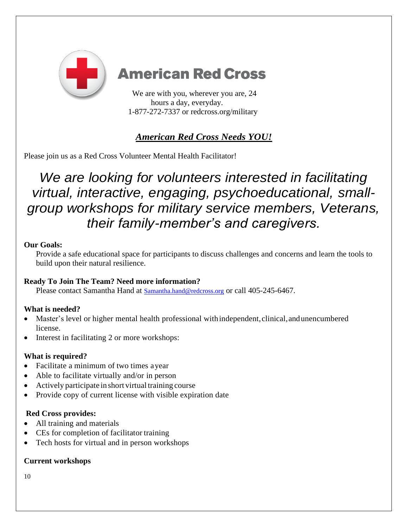

# **American Red Cross**

We are with you, wherever you are, 24 hours a day, everyday. 1-877-272-7337 or redcross.org/military

### *American Red Cross Needs YOU!*

Please join us as a Red Cross Volunteer Mental Health Facilitator!

# *We are looking for volunteers interested in facilitating virtual, interactive, engaging, psychoeducational, smallgroup workshops for military service members, Veterans, their family-member's and caregivers.*

#### **Our Goals:**

Provide a safe educational space for participants to discuss challenges and concerns and learn the tools to build upon their natural resilience.

#### **Ready To Join The Team? Need more information?**

Please contact Samantha Hand at [Samantha.hand@redcross.org](mailto:Samantha.hand@redcross.org) or call 405-245-6467.

#### **What is needed?**

- Master's level or higher mental health professional with independent, clinical, and unencumbered license.
- Interest in facilitating 2 or more workshops:

#### **What is required?**

- Facilitate a minimum of two times ayear
- Able to facilitate virtually and/or in person
- Actively participate in short virtual training course
- Provide copy of current license with visible expiration date

#### **Red Cross provides:**

- All training and materials
- CEs for completion of facilitator training
- Tech hosts for virtual and in person workshops

#### **Current workshops**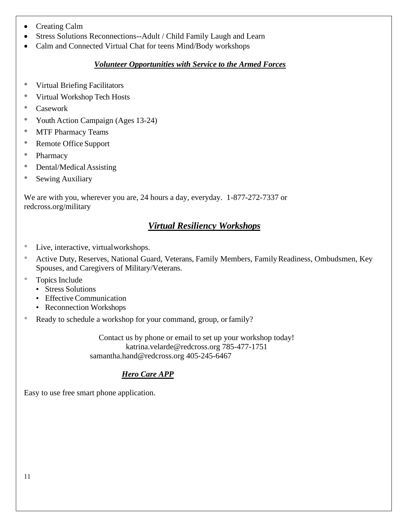- Creating Calm
- Stress Solutions Reconnections--Adult / Child Family Laugh and Learn
- Calm and Connected Virtual Chat for teens Mind/Body workshops

#### *Volunteer Opportunities with Service to the Armed Forces*

- Virtual Briefing Facilitators
- Virtual Workshop Tech Hosts
- Casework
- Youth Action Campaign (Ages 13-24)
- MTF Pharmacy Teams
- Remote Office Support
- Pharmacy
- Dental/Medical Assisting
- Sewing Auxiliary

We are with you, wherever you are, 24 hours a day, everyday. 1-877-272-7337 or redcross.org/military

#### *Virtual Resiliency Workshops*

- Live, interactive, virtualworkshops.
- Active Duty, Reserves, National Guard, Veterans, Family Members, Family Readiness, Ombudsmen, Key Spouses, and Caregivers of Military/Veterans.
- Topics Include
	- Stress Solutions
	- Effective Communication
	- Reconnection Workshops
- Ready to schedule a workshop for your command, group, or family?

Contact us by phone or email to set up your workshop today! [katrina.velarde@redcross.org](mailto:katrina.velarde@redcross.org) 785-477-1751 [samantha.hand@redcross.org](mailto:samantha.hand@redcross.org) 405-245-6467

#### *Hero Care APP*

Easy to use free smart phone application.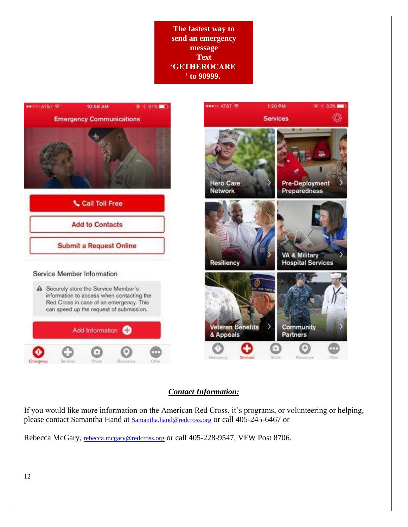**The fastest way to send an emergency message Text 'GETHEROCARE ' to 90999.**



#### *Contact Information:*

If you would like more information on the American Red Cross, it's programs, or volunteering or helping, please contact Samantha Hand at [Samantha.hand@redcross.org](mailto:Samantha.hand@redcross.org) or call 405-245-6467 or

Rebecca McGary, [rebecca.mcgary@redcross.org](mailto:rebecca.mcgary@redcross.org) or call 405-228-9547, VFW Post 8706.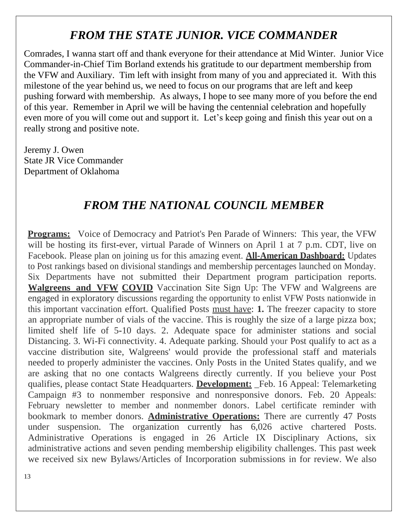## *FROM THE STATE JUNIOR. VICE COMMANDER*

Comrades, I wanna start off and thank everyone for their attendance at Mid Winter. Junior Vice Commander-in-Chief Tim Borland extends his gratitude to our department membership from the VFW and Auxiliary. Tim left with insight from many of you and appreciated it. With this milestone of the year behind us, we need to focus on our programs that are left and keep pushing forward with membership. As always, I hope to see many more of you before the end of this year. Remember in April we will be having the centennial celebration and hopefully even more of you will come out and support it. Let's keep going and finish this year out on a really strong and positive note.

Jeremy J. Owen State JR Vice Commander Department of Oklahoma

### *FROM THE NATIONAL COUNCIL MEMBER*

**Programs:** Voice of Democracy and Patriot's Pen Parade of Winners: This year, the VFW will be hosting its first-ever, virtual Parade of Winners on April 1 at 7 p.m. CDT, live on Facebook. Please plan on joining us for this amazing event. **All-American Dashboard:** Updates to Post rankings based on divisional standings and membership percentages launched on Monday. Six Departments have not submitted their Department program participation reports. **Walgreens and VFW COVID** Vaccination Site Sign Up: The VFW and Walgreens are engaged in exploratory discussions regarding the opportunity to enlist VFW Posts nationwide in this important vaccination effort. Qualified Posts must have: **1.** The freezer capacity to store an appropriate number of vials of the vaccine. This is roughly the size of a large pizza box; limited shelf life of 5-10 days. 2. Adequate space for administer stations and social Distancing. 3. Wi-Fi connectivity. 4. Adequate parking. Should your Post qualify to act as a vaccine distribution site, Walgreens' would provide the professional staff and materials needed to properly administer the vaccines. Only Posts in the United States qualify, and we are asking that no one contacts Walgreens directly currently. If you believe your Post qualifies, please contact State Headquarters. **Development:** \_Feb. 16 Appeal: Telemarketing Campaign #3 to nonmember responsive and nonresponsive donors. Feb. 20 Appeals: February newsletter to member and nonmember donors. Label certificate reminder with bookmark to member donors. **Administrative Operations:** There are currently 47 Posts under suspension. The organization currently has 6,026 active chartered Posts. Administrative Operations is engaged in 26 Article IX Disciplinary Actions, six administrative actions and seven pending membership eligibility challenges. This past week we received six new Bylaws/Articles of Incorporation submissions in for review. We also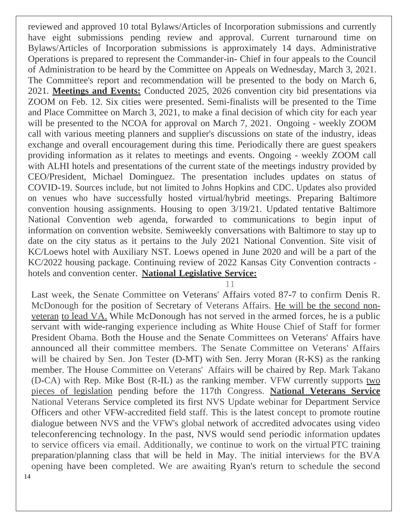reviewed and approved 10 total Bylaws/Articles of Incorporation submissions and currently have eight submissions pending review and approval. Current turnaround time on Bylaws/Articles of Incorporation submissions is approximately 14 days. Administrative Operations is prepared to represent the Commander-in- Chief in four appeals to the Council of Administration to be heard by the Committee on Appeals on Wednesday, March 3, 2021. The Committee's report and recommendation will be presented to the body on March 6, 2021. **Meetings and Events:** Conducted 2025, 2026 convention city bid presentations via ZOOM on Feb. 12. Six cities were presented. Semi-finalists will be presented to the Time and Place Committee on March 3, 2021, to make a final decision of which city for each year will be presented to the NCOA for approval on March 7, 2021. Ongoing - weekly ZOOM call with various meeting planners and supplier's discussions on state of the industry, ideas exchange and overall encouragement during this time. Periodically there are guest speakers providing information as it relates to meetings and events. Ongoing - weekly ZOOM call with ALHI hotels and presentations of the current state of the meetings industry provided by CEO/President, Michael Dominguez. The presentation includes updates on status of COVID-19. Sources include, but not limited to Johns Hopkins and CDC. Updates also provided on venues who have successfully hosted virtual/hybrid meetings. Preparing Baltimore convention housing assignments. Housing to open 3/19/21. Updated tentative Baltimore National Convention web agenda, forwarded to communications to begin input of information on convention website. Semiweekly conversations with Baltimore to stay up to date on the city status as it pertains to the July 2021 National Convention. Site visit of KC/Loews hotel with Auxiliary NST. Loews opened in June 2020 and will be a part of the KC/2022 housing package. Continuing review of 2022 Kansas City Convention contracts hotels and convention center. **National Legislative Service:**

11

14 Last week, the Senate Committee on Veterans' Affairs voted 87-7 to confirm Denis R. McDonough for the position of Secretary of Veterans Affairs. He will be the second nonveteran to lead VA. While McDonough has not served in the armed forces, he is a public servant with wide-ranging experience including as White House Chief of Staff for former President Obama. Both the House and the Senate Committees on Veterans' Affairs have announced all their committee members. The Senate Committee on Veterans' Affairs will be chaired by Sen. Jon Tester (D-MT) with Sen. Jerry Moran (R-KS) as the ranking member. The House Committee on Veterans' Affairs will be chaired by Rep. Mark Takano (D-CA) with Rep. Mike Bost (R-IL) as the ranking member. VFW currently supports two pieces of legislation pending before the 117th Congress. **National Veterans Service** National Veterans Service completed its first NVS Update webinar for Department Service Officers and other VFW-accredited field staff. This is the latest concept to promote routine dialogue between NVS and the VFW's global network of accredited advocates using video teleconferencing technology. In the past, NVS would send periodic information updates to service officers via email. Additionally, we continue to work on the virtualPTC training preparation/planning class that will be held in May. The initial interviews for the BVA opening have been completed. We are awaiting Ryan's return to schedule the second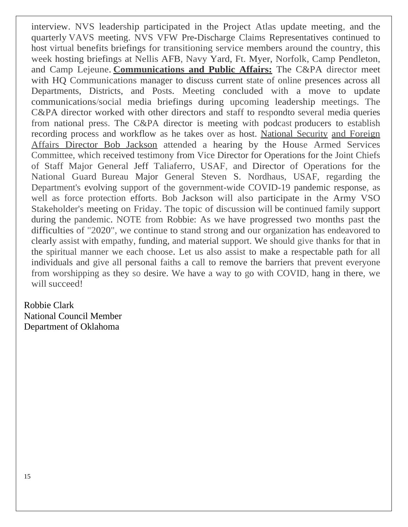interview. NVS leadership participated in the Project Atlas update meeting, and the quarterly VAVS meeting. NVS VFW Pre-Discharge Claims Representatives continued to host virtual benefits briefings for transitioning service members around the country, this week hosting briefings at Nellis AFB, Navy Yard, Ft. Myer, Norfolk, Camp Pendleton, and Camp Lejeune. **Communications and Public Affairs:** The C&PA director meet with HQ Communications manager to discuss current state of online presences across all Departments, Districts, and Posts. Meeting concluded with a move to update communications/social media briefings during upcoming leadership meetings. The C&PA director worked with other directors and staff to respondto several media queries from national press. The C&PA director is meeting with podcast producers to establish recording process and workflow as he takes over as host. National Security and Foreign Affairs Director Bob Jackson attended a hearing by the House Armed Services Committee, which received testimony from Vice Director for Operations for the Joint Chiefs of Staff Major General Jeff Taliaferro, USAF, and Director of Operations for the National Guard Bureau Major General Steven S. Nordhaus, USAF, regarding the Department's evolving support of the government-wide COVID-19 pandemic response, as well as force protection efforts. Bob Jackson will also participate in the Army VSO Stakeholder's meeting on Friday. The topic of discussion will be continued family support during the pandemic. NOTE from Robbie: As we have progressed two months past the difficulties of "2020", we continue to stand strong and our organization has endeavored to clearly assist with empathy, funding, and material support. We should give thanks for that in the spiritual manner we each choose. Let us also assist to make a respectable path for all individuals and give all personal faiths a call to remove the barriers that prevent everyone from worshipping as they so desire. We have a way to go with COVID, hang in there, we will succeed!

Robbie Clark National Council Member Department of Oklahoma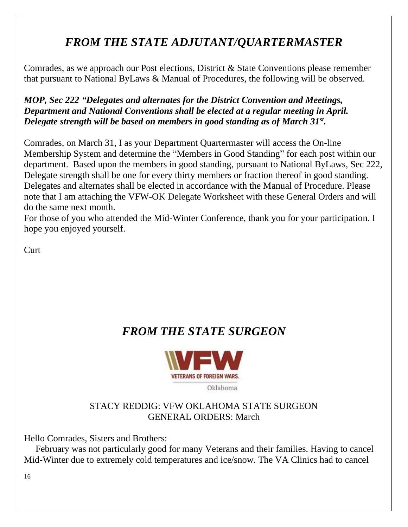## *FROM THE STATE ADJUTANT/QUARTERMASTER*

Comrades, as we approach our Post elections, District & State Conventions please remember that pursuant to National ByLaws & Manual of Procedures, the following will be observed.

*MOP, Sec 222 "Delegates and alternates for the District Convention and Meetings, Department and National Conventions shall be elected at a regular meeting in April. Delegate strength will be based on members in good standing as of March 31st .*

Comrades, on March 31, I as your Department Quartermaster will access the On-line Membership System and determine the "Members in Good Standing" for each post within our department. Based upon the members in good standing, pursuant to National ByLaws, Sec 222, Delegate strength shall be one for every thirty members or fraction thereof in good standing. Delegates and alternates shall be elected in accordance with the Manual of Procedure. Please note that I am attaching the VFW-OK Delegate Worksheet with these General Orders and will do the same next month.

For those of you who attended the Mid-Winter Conference, thank you for your participation. I hope you enjoyed yourself.

**Curt** 

## *FROM THE STATE SURGEON*



### STACY REDDIG: VFW OKLAHOMA STATE SURGEON GENERAL ORDERS: March

Hello Comrades, Sisters and Brothers:

 February was not particularly good for many Veterans and their families. Having to cancel Mid-Winter due to extremely cold temperatures and ice/snow. The VA Clinics had to cancel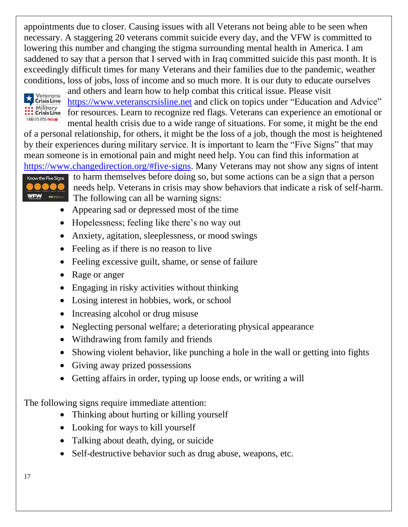appointments due to closer. Causing issues with all Veterans not being able to be seen when necessary. A staggering 20 veterans commit suicide every day, and the VFW is committed to lowering this number and changing the stigma surrounding mental health in America. I am saddened to say that a person that I served with in Iraq committed suicide this past month. It is exceedingly difficult times for many Veterans and their families due to the pandemic, weather conditions, loss of jobs, loss of income and so much more. It is our duty to educate ourselves



and others and learn how to help combat this critical issue. Please visit [https://www.veteranscrsisline.net](https://www.veteranscrsisline.net/) and click on topics under "Education and Advice" for resources. Learn to recognize red flags. Veterans can experience an emotional or mental health crisis due to a wide range of situations. For some, it might be the end

of a personal relationship, for others, it might be the loss of a job, though the most is heightened by their experiences during military service. It is important to learn the "Five Signs" that may mean someone is in emotional pain and might need help. You can find this information at [https://www.changedirection.org/#five-signs.](https://www.changedirection.org/#five-signs) Many Veterans may not show any signs of intent



to harm themselves before doing so, but some actions can be a sign that a person needs help. Veterans in crisis may show behaviors that indicate a risk of self-harm. The following can all be warning signs:

- Appearing sad or depressed most of the time
- Hopelessness; feeling like there's no way out
- Anxiety, agitation, sleeplessness, or mood swings
- Feeling as if there is no reason to live
- Feeling excessive guilt, shame, or sense of failure
- Rage or anger
- Engaging in risky activities without thinking
- Losing interest in hobbies, work, or school
- Increasing alcohol or drug misuse
- Neglecting personal welfare; a deteriorating physical appearance
- Withdrawing from family and friends
- Showing violent behavior, like punching a hole in the wall or getting into fights
- Giving away prized possessions
- Getting affairs in order, typing up loose ends, or writing a will

The following signs require immediate attention:

- Thinking about hurting or killing yourself
- Looking for ways to kill yourself
- Talking about death, dying, or suicide
- Self-destructive behavior such as drug abuse, weapons, etc.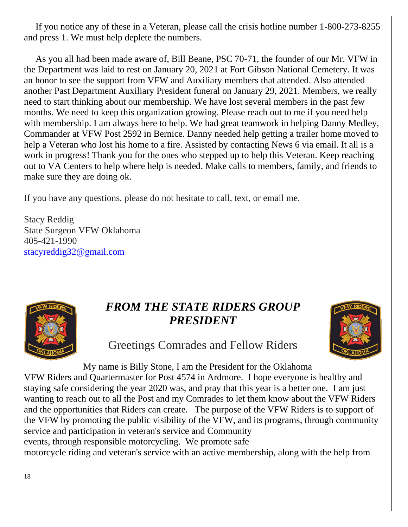If you notice any of these in a Veteran, please call the crisis hotline number 1-800-273-8255 and press 1. We must help deplete the numbers.

 As you all had been made aware of, Bill Beane, PSC 70-71, the founder of our Mr. VFW in the Department was laid to rest on January 20, 2021 at Fort Gibson National Cemetery. It was an honor to see the support from VFW and Auxiliary members that attended. Also attended another Past Department Auxiliary President funeral on January 29, 2021. Members, we really need to start thinking about our membership. We have lost several members in the past few months. We need to keep this organization growing. Please reach out to me if you need help with membership. I am always here to help. We had great teamwork in helping Danny Medley, Commander at VFW Post 2592 in Bernice. Danny needed help getting a trailer home moved to help a Veteran who lost his home to a fire. Assisted by contacting News 6 via email. It all is a work in progress! Thank you for the ones who stepped up to help this Veteran. Keep reaching out to VA Centers to help where help is needed. Make calls to members, family, and friends to make sure they are doing ok.

If you have any questions, please do not hesitate to call, text, or email me.

Stacy Reddig State Surgeon VFW Oklahoma 405-421-1990 [stacyreddig32@gmail.com](mailto:stacyreddig32@gmail.com)



## *FROM THE STATE RIDERS GROUP PRESIDENT*



Greetings Comrades and Fellow Riders

My name is Billy Stone, I am the President for the Oklahoma VFW Riders and Quartermaster for Post 4574 in Ardmore. I hope everyone is healthy and staying safe considering the year 2020 was, and pray that this year is a better one. I am just wanting to reach out to all the Post and my Comrades to let them know about the VFW Riders and the opportunities that Riders can create. The purpose of the VFW Riders is to support of the VFW by promoting the public visibility of the VFW, and its programs, through community service and participation in veteran's service and Community events, through responsible motorcycling. We promote safe motorcycle riding and veteran's service with an active membership, along with the help from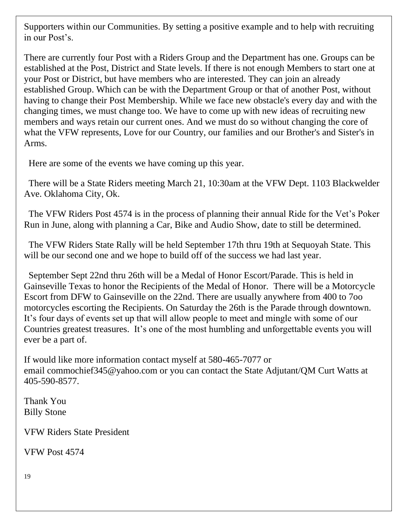Supporters within our Communities. By setting a positive example and to help with recruiting in our Post's.

There are currently four Post with a Riders Group and the Department has one. Groups can be established at the Post, District and State levels. If there is not enough Members to start one at your Post or District, but have members who are interested. They can join an already established Group. Which can be with the Department Group or that of another Post, without having to change their Post Membership. While we face new obstacle's every day and with the changing times, we must change too. We have to come up with new ideas of recruiting new members and ways retain our current ones. And we must do so without changing the core of what the VFW represents, Love for our Country, our families and our Brother's and Sister's in Arms.

Here are some of the events we have coming up this year.

 There will be a State Riders meeting March 21, 10:30am at the VFW Dept. 1103 Blackwelder Ave. Oklahoma City, Ok.

 The VFW Riders Post 4574 is in the process of planning their annual Ride for the Vet's Poker Run in June, along with planning a Car, Bike and Audio Show, date to still be determined.

 The VFW Riders State Rally will be held September 17th thru 19th at Sequoyah State. This will be our second one and we hope to build off of the success we had last year.

 September Sept 22nd thru 26th will be a Medal of Honor Escort/Parade. This is held in Gainseville Texas to honor the Recipients of the Medal of Honor. There will be a Motorcycle Escort from DFW to Gainseville on the 22nd. There are usually anywhere from 400 to 7oo motorcycles escorting the Recipients. On Saturday the 26th is the Parade through downtown. It's four days of events set up that will allow people to meet and mingle with some of our Countries greatest treasures. It's one of the most humbling and unforgettable events you will ever be a part of.

If would like more information contact myself at 580-465-7077 or email [commochief345@yahoo.com](mailto:commochief345@yahoo.com) or you can contact the State Adjutant/QM Curt Watts at 405-590-8577.

Thank You Billy Stone

VFW Riders State President

VFW Post 4574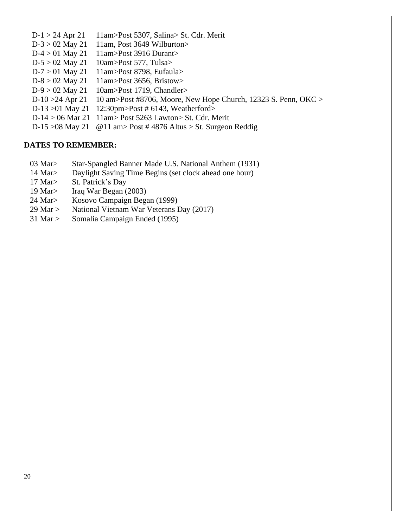- D-1 > 24 Apr 21 11am>Post 5307, Salina> St. Cdr. Merit
- $D-3 > 02$  May 21 11am, Post 3649 Wilburton
- $D-4 > 01$  May 21 11am>Post 3916 Durant>
- $D-5 > 02$  May 21 10am>Post 577, Tulsa>
- D-7 > 01 May 21 11am>Post 8798, Eufaula>
- D-8 > 02 May 21 11am>Post 3656, Bristow>
- D-9 > 02 May 21 10am>Post 1719, Chandler>
- D-10 >24 Apr 21 10 am>Post #8706, Moore, New Hope Church, 12323 S. Penn, OKC >
- D-13 >01 May 21 12:30pm>Post # 6143, Weatherford>
- D-14 > 06 Mar 21 11am> Post 5263 Lawton> St. Cdr. Merit
- D-15 >08 May 21 @11 am> Post # 4876 Altus > St. Surgeon Reddig

#### **DATES TO REMEMBER:**

- 03 Mar> Star-Spangled Banner Made U.S. National Anthem (1931)
- 14 Mar> Daylight Saving Time Begins (set clock ahead one hour)
- 17 Mar> St. Patrick's Day
- 19 Mar> Iraq War Began (2003)
- 24 Mar> Kosovo Campaign Began (1999)
- 29 Mar > National Vietnam War Veterans Day (2017)
- 31 Mar > Somalia Campaign Ended (1995)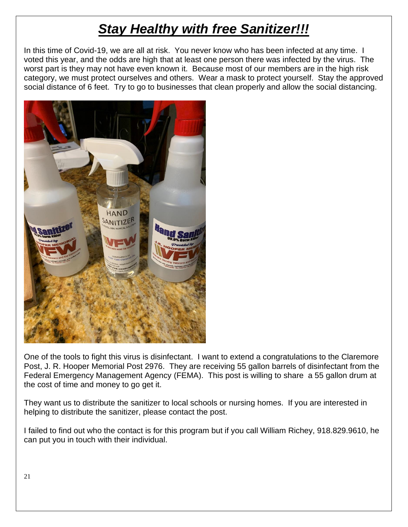# *Stay Healthy with free Sanitizer!!!*

In this time of Covid-19, we are all at risk. You never know who has been infected at any time. I voted this year, and the odds are high that at least one person there was infected by the virus. The worst part is they may not have even known it. Because most of our members are in the high risk category, we must protect ourselves and others. Wear a mask to protect yourself. Stay the approved social distance of 6 feet. Try to go to businesses that clean properly and allow the social distancing.



One of the tools to fight this virus is disinfectant. I want to extend a congratulations to the Claremore Post, J. R. Hooper Memorial Post 2976. They are receiving 55 gallon barrels of disinfectant from the Federal Emergency Management Agency (FEMA). This post is willing to share a 55 gallon drum at the cost of time and money to go get it.

They want us to distribute the sanitizer to local schools or nursing homes. If you are interested in helping to distribute the sanitizer, please contact the post.

I failed to find out who the contact is for this program but if you call William Richey, 918.829.9610, he can put you in touch with their individual.